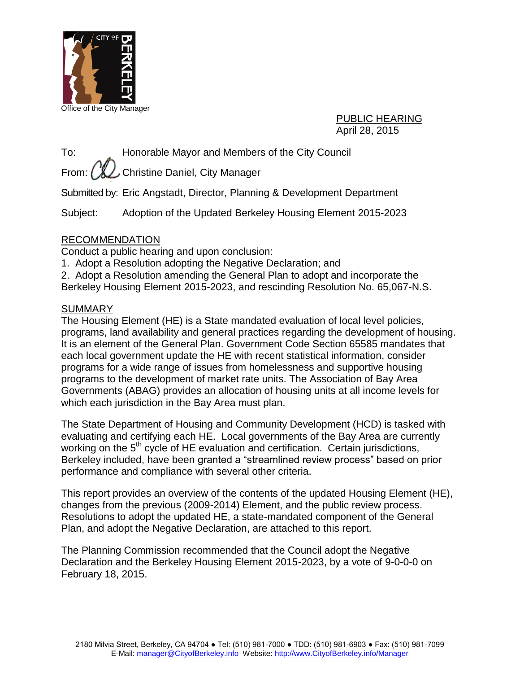

PUBLIC HEARING April 28, 2015

To: Honorable Mayor and Members of the City Council

From:  $\left(\mathcal{K}\right)$  Christine Daniel, City Manager

Submitted by: Eric Angstadt, Director, Planning & Development Department

Subject: Adoption of the Updated Berkeley Housing Element 2015-2023

# RECOMMENDATION

Conduct a public hearing and upon conclusion:

1. Adopt a Resolution adopting the Negative Declaration; and

2. Adopt a Resolution amending the General Plan to adopt and incorporate the

Berkeley Housing Element 2015-2023, and rescinding Resolution No. 65,067-N.S.

# **SUMMARY**

The Housing Element (HE) is a State mandated evaluation of local level policies, programs, land availability and general practices regarding the development of housing. It is an element of the General Plan. Government Code Section 65585 mandates that each local government update the HE with recent statistical information, consider programs for a wide range of issues from homelessness and supportive housing programs to the development of market rate units. The Association of Bay Area Governments (ABAG) provides an allocation of housing units at all income levels for which each jurisdiction in the Bay Area must plan.

The State Department of Housing and Community Development (HCD) is tasked with evaluating and certifying each HE. Local governments of the Bay Area are currently working on the  $5<sup>th</sup>$  cycle of HE evaluation and certification. Certain jurisdictions, Berkeley included, have been granted a "streamlined review process" based on prior performance and compliance with several other criteria.

This report provides an overview of the contents of the updated Housing Element (HE), changes from the previous (2009-2014) Element, and the public review process. Resolutions to adopt the updated HE, a state-mandated component of the General Plan, and adopt the Negative Declaration, are attached to this report.

The Planning Commission recommended that the Council adopt the Negative Declaration and the Berkeley Housing Element 2015-2023, by a vote of 9-0-0-0 on February 18, 2015.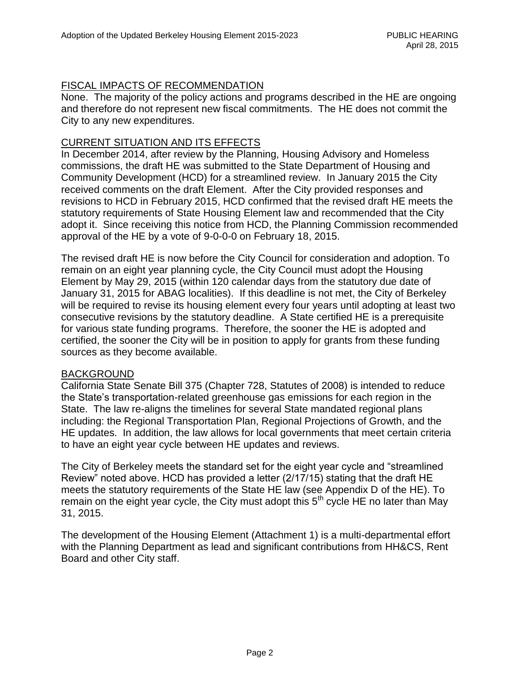## FISCAL IMPACTS OF RECOMMENDATION

None. The majority of the policy actions and programs described in the HE are ongoing and therefore do not represent new fiscal commitments. The HE does not commit the City to any new expenditures.

#### CURRENT SITUATION AND ITS EFFECTS

In December 2014, after review by the Planning, Housing Advisory and Homeless commissions, the draft HE was submitted to the State Department of Housing and Community Development (HCD) for a streamlined review. In January 2015 the City received comments on the draft Element. After the City provided responses and revisions to HCD in February 2015, HCD confirmed that the revised draft HE meets the statutory requirements of State Housing Element law and recommended that the City adopt it. Since receiving this notice from HCD, the Planning Commission recommended approval of the HE by a vote of 9-0-0-0 on February 18, 2015.

The revised draft HE is now before the City Council for consideration and adoption. To remain on an eight year planning cycle, the City Council must adopt the Housing Element by May 29, 2015 (within 120 calendar days from the statutory due date of January 31, 2015 for ABAG localities). If this deadline is not met, the City of Berkeley will be required to revise its housing element every four years until adopting at least two consecutive revisions by the statutory deadline. A State certified HE is a prerequisite for various state funding programs. Therefore, the sooner the HE is adopted and certified, the sooner the City will be in position to apply for grants from these funding sources as they become available.

#### BACKGROUND

California State Senate Bill 375 (Chapter 728, Statutes of 2008) is intended to reduce the State's transportation-related greenhouse gas emissions for each region in the State. The law re-aligns the timelines for several State mandated regional plans including: the Regional Transportation Plan, Regional Projections of Growth, and the HE updates. In addition, the law allows for local governments that meet certain criteria to have an eight year cycle between HE updates and reviews.

The City of Berkeley meets the standard set for the eight year cycle and "streamlined Review" noted above. HCD has provided a letter (2/17/15) stating that the draft HE meets the statutory requirements of the State HE law (see Appendix D of the HE). To remain on the eight year cycle, the City must adopt this  $5<sup>th</sup>$  cycle HE no later than May 31, 2015.

The development of the Housing Element (Attachment 1) is a multi-departmental effort with the Planning Department as lead and significant contributions from HH&CS, Rent Board and other City staff.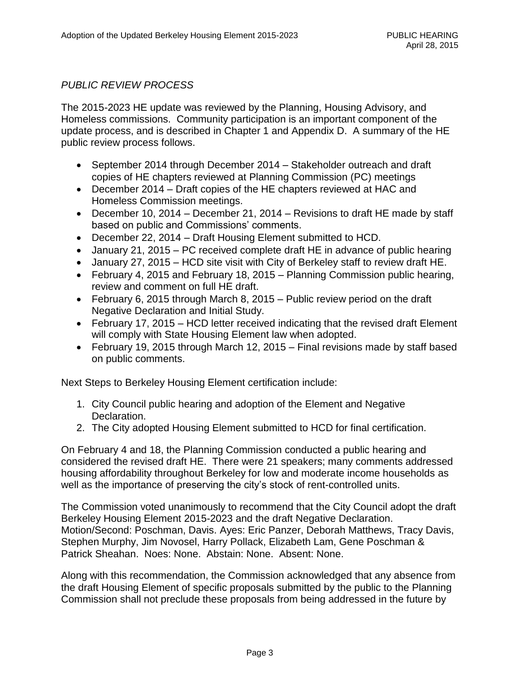#### *PUBLIC REVIEW PROCESS*

The 2015-2023 HE update was reviewed by the Planning, Housing Advisory, and Homeless commissions. Community participation is an important component of the update process, and is described in Chapter 1 and Appendix D. A summary of the HE public review process follows.

- September 2014 through December 2014 Stakeholder outreach and draft copies of HE chapters reviewed at Planning Commission (PC) meetings
- December 2014 Draft copies of the HE chapters reviewed at HAC and Homeless Commission meetings.
- December 10, 2014 December 21, 2014 Revisions to draft HE made by staff based on public and Commissions' comments.
- December 22, 2014 Draft Housing Element submitted to HCD.
- January 21, 2015 PC received complete draft HE in advance of public hearing
- January 27, 2015 HCD site visit with City of Berkeley staff to review draft HE.
- February 4, 2015 and February 18, 2015 Planning Commission public hearing, review and comment on full HE draft.
- February 6, 2015 through March 8, 2015 Public review period on the draft Negative Declaration and Initial Study.
- February 17, 2015 HCD letter received indicating that the revised draft Element will comply with State Housing Element law when adopted.
- February 19, 2015 through March 12, 2015 Final revisions made by staff based on public comments.

Next Steps to Berkeley Housing Element certification include:

- 1. City Council public hearing and adoption of the Element and Negative Declaration.
- 2. The City adopted Housing Element submitted to HCD for final certification.

On February 4 and 18, the Planning Commission conducted a public hearing and considered the revised draft HE. There were 21 speakers; many comments addressed housing affordability throughout Berkeley for low and moderate income households as well as the importance of preserving the city's stock of rent-controlled units.

The Commission voted unanimously to recommend that the City Council adopt the draft Berkeley Housing Element 2015-2023 and the draft Negative Declaration. Motion/Second: Poschman, Davis. Ayes: Eric Panzer, Deborah Matthews, Tracy Davis, Stephen Murphy, Jim Novosel, Harry Pollack, Elizabeth Lam, Gene Poschman & Patrick Sheahan. Noes: None. Abstain: None. Absent: None.

Along with this recommendation, the Commission acknowledged that any absence from the draft Housing Element of specific proposals submitted by the public to the Planning Commission shall not preclude these proposals from being addressed in the future by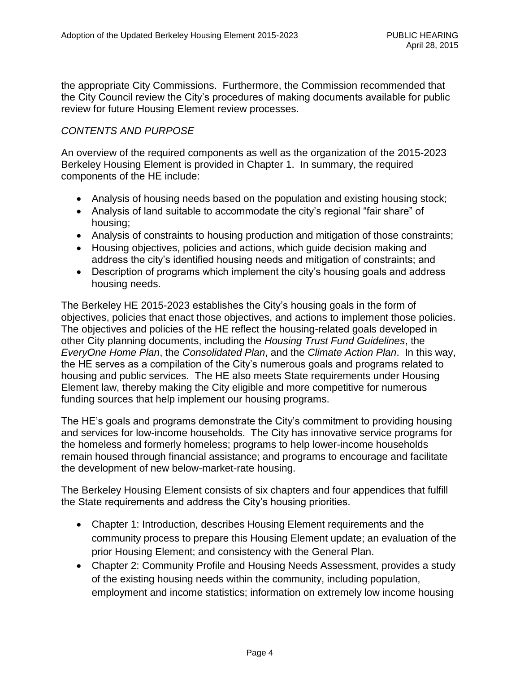the appropriate City Commissions. Furthermore, the Commission recommended that the City Council review the City's procedures of making documents available for public review for future Housing Element review processes.

## *CONTENTS AND PURPOSE*

An overview of the required components as well as the organization of the 2015-2023 Berkeley Housing Element is provided in Chapter 1. In summary, the required components of the HE include:

- Analysis of housing needs based on the population and existing housing stock;
- Analysis of land suitable to accommodate the city's regional "fair share" of housing;
- Analysis of constraints to housing production and mitigation of those constraints;
- Housing objectives, policies and actions, which guide decision making and address the city's identified housing needs and mitigation of constraints; and
- Description of programs which implement the city's housing goals and address housing needs.

The Berkeley HE 2015-2023 establishes the City's housing goals in the form of objectives, policies that enact those objectives, and actions to implement those policies. The objectives and policies of the HE reflect the housing-related goals developed in other City planning documents, including the *Housing Trust Fund Guidelines*, the *EveryOne Home Plan*, the *Consolidated Plan*, and the *Climate Action Plan*. In this way, the HE serves as a compilation of the City's numerous goals and programs related to housing and public services. The HE also meets State requirements under Housing Element law, thereby making the City eligible and more competitive for numerous funding sources that help implement our housing programs.

The HE's goals and programs demonstrate the City's commitment to providing housing and services for low-income households. The City has innovative service programs for the homeless and formerly homeless; programs to help lower-income households remain housed through financial assistance; and programs to encourage and facilitate the development of new below-market-rate housing.

The Berkeley Housing Element consists of six chapters and four appendices that fulfill the State requirements and address the City's housing priorities.

- Chapter 1: Introduction, describes Housing Element requirements and the community process to prepare this Housing Element update; an evaluation of the prior Housing Element; and consistency with the General Plan.
- Chapter 2: Community Profile and Housing Needs Assessment, provides a study of the existing housing needs within the community, including population, employment and income statistics; information on extremely low income housing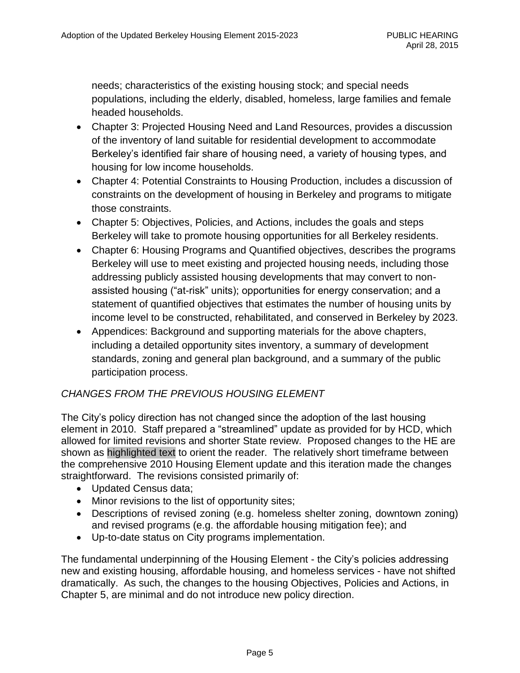needs; characteristics of the existing housing stock; and special needs populations, including the elderly, disabled, homeless, large families and female headed households.

- Chapter 3: Projected Housing Need and Land Resources, provides a discussion of the inventory of land suitable for residential development to accommodate Berkeley's identified fair share of housing need, a variety of housing types, and housing for low income households.
- Chapter 4: Potential Constraints to Housing Production, includes a discussion of constraints on the development of housing in Berkeley and programs to mitigate those constraints.
- Chapter 5: Objectives, Policies, and Actions, includes the goals and steps Berkeley will take to promote housing opportunities for all Berkeley residents.
- Chapter 6: Housing Programs and Quantified objectives, describes the programs Berkeley will use to meet existing and projected housing needs, including those addressing publicly assisted housing developments that may convert to nonassisted housing ("at-risk" units); opportunities for energy conservation; and a statement of quantified objectives that estimates the number of housing units by income level to be constructed, rehabilitated, and conserved in Berkeley by 2023.
- Appendices: Background and supporting materials for the above chapters, including a detailed opportunity sites inventory, a summary of development standards, zoning and general plan background, and a summary of the public participation process.

# *CHANGES FROM THE PREVIOUS HOUSING ELEMENT*

The City's policy direction has not changed since the adoption of the last housing element in 2010. Staff prepared a "streamlined" update as provided for by HCD, which allowed for limited revisions and shorter State review. Proposed changes to the HE are shown as highlighted text to orient the reader. The relatively short timeframe between the comprehensive 2010 Housing Element update and this iteration made the changes straightforward. The revisions consisted primarily of:

- Updated Census data;
- Minor revisions to the list of opportunity sites;
- Descriptions of revised zoning (e.g. homeless shelter zoning, downtown zoning) and revised programs (e.g. the affordable housing mitigation fee); and
- Up-to-date status on City programs implementation.

The fundamental underpinning of the Housing Element - the City's policies addressing new and existing housing, affordable housing, and homeless services - have not shifted dramatically. As such, the changes to the housing Objectives, Policies and Actions, in Chapter 5, are minimal and do not introduce new policy direction.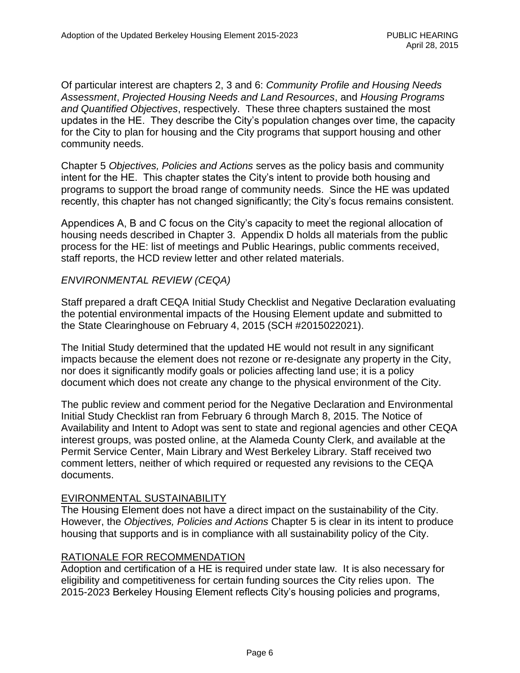Of particular interest are chapters 2, 3 and 6: *Community Profile and Housing Needs Assessment*, *Projected Housing Needs and Land Resources*, and *Housing Programs and Quantified Objectives*, respectively. These three chapters sustained the most updates in the HE. They describe the City's population changes over time, the capacity for the City to plan for housing and the City programs that support housing and other community needs.

Chapter 5 *Objectives, Policies and Actions* serves as the policy basis and community intent for the HE. This chapter states the City's intent to provide both housing and programs to support the broad range of community needs. Since the HE was updated recently, this chapter has not changed significantly; the City's focus remains consistent.

Appendices A, B and C focus on the City's capacity to meet the regional allocation of housing needs described in Chapter 3. Appendix D holds all materials from the public process for the HE: list of meetings and Public Hearings, public comments received, staff reports, the HCD review letter and other related materials.

## *ENVIRONMENTAL REVIEW (CEQA)*

Staff prepared a draft CEQA Initial Study Checklist and Negative Declaration evaluating the potential environmental impacts of the Housing Element update and submitted to the State Clearinghouse on February 4, 2015 (SCH #2015022021).

The Initial Study determined that the updated HE would not result in any significant impacts because the element does not rezone or re-designate any property in the City, nor does it significantly modify goals or policies affecting land use; it is a policy document which does not create any change to the physical environment of the City.

The public review and comment period for the Negative Declaration and Environmental Initial Study Checklist ran from February 6 through March 8, 2015. The Notice of Availability and Intent to Adopt was sent to state and regional agencies and other CEQA interest groups, was posted online, at the Alameda County Clerk, and available at the Permit Service Center, Main Library and West Berkeley Library. Staff received two comment letters, neither of which required or requested any revisions to the CEQA documents.

#### EVIRONMENTAL SUSTAINABILITY

The Housing Element does not have a direct impact on the sustainability of the City. However, the *Objectives, Policies and Actions* Chapter 5 is clear in its intent to produce housing that supports and is in compliance with all sustainability policy of the City.

## RATIONALE FOR RECOMMENDATION

Adoption and certification of a HE is required under state law. It is also necessary for eligibility and competitiveness for certain funding sources the City relies upon. The 2015-2023 Berkeley Housing Element reflects City's housing policies and programs,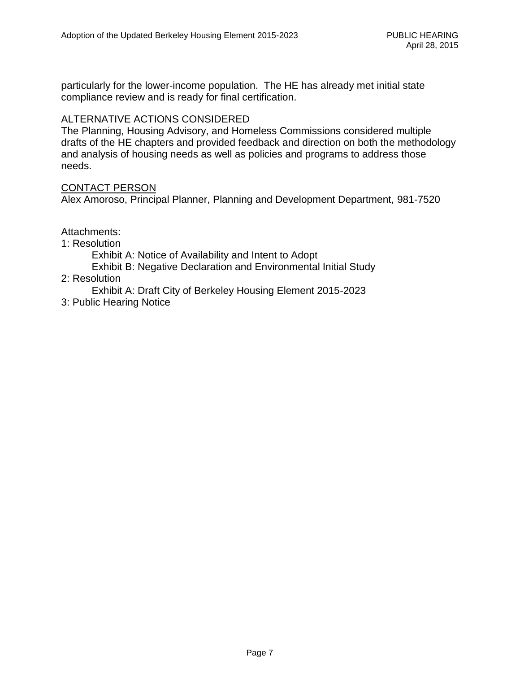particularly for the lower-income population. The HE has already met initial state compliance review and is ready for final certification.

## ALTERNATIVE ACTIONS CONSIDERED

The Planning, Housing Advisory, and Homeless Commissions considered multiple drafts of the HE chapters and provided feedback and direction on both the methodology and analysis of housing needs as well as policies and programs to address those needs.

#### CONTACT PERSON

Alex Amoroso, Principal Planner, Planning and Development Department, 981-7520

Attachments:

1: Resolution

Exhibit A: Notice of Availability and Intent to Adopt Exhibit B: Negative Declaration and Environmental Initial Study

2: Resolution

Exhibit A: Draft City of Berkeley Housing Element 2015-2023

3: Public Hearing Notice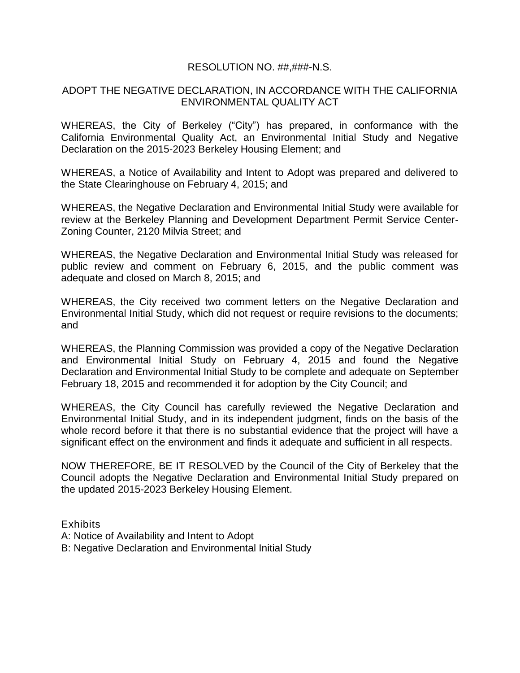#### RESOLUTION NO. ##,###-N.S.

## ADOPT THE NEGATIVE DECLARATION, IN ACCORDANCE WITH THE CALIFORNIA ENVIRONMENTAL QUALITY ACT

WHEREAS, the City of Berkeley ("City") has prepared, in conformance with the California Environmental Quality Act, an Environmental Initial Study and Negative Declaration on the 2015-2023 Berkeley Housing Element; and

WHEREAS, a Notice of Availability and Intent to Adopt was prepared and delivered to the State Clearinghouse on February 4, 2015; and

WHEREAS, the Negative Declaration and Environmental Initial Study were available for review at the Berkeley Planning and Development Department Permit Service Center-Zoning Counter, 2120 Milvia Street; and

WHEREAS, the Negative Declaration and Environmental Initial Study was released for public review and comment on February 6, 2015, and the public comment was adequate and closed on March 8, 2015; and

WHEREAS, the City received two comment letters on the Negative Declaration and Environmental Initial Study, which did not request or require revisions to the documents; and

WHEREAS, the Planning Commission was provided a copy of the Negative Declaration and Environmental Initial Study on February 4, 2015 and found the Negative Declaration and Environmental Initial Study to be complete and adequate on September February 18, 2015 and recommended it for adoption by the City Council; and

WHEREAS, the City Council has carefully reviewed the Negative Declaration and Environmental Initial Study, and in its independent judgment, finds on the basis of the whole record before it that there is no substantial evidence that the project will have a significant effect on the environment and finds it adequate and sufficient in all respects.

NOW THEREFORE, BE IT RESOLVED by the Council of the City of Berkeley that the Council adopts the Negative Declaration and Environmental Initial Study prepared on the updated 2015-2023 Berkeley Housing Element.

Exhibits A: Notice of Availability and Intent to Adopt B: Negative Declaration and Environmental Initial Study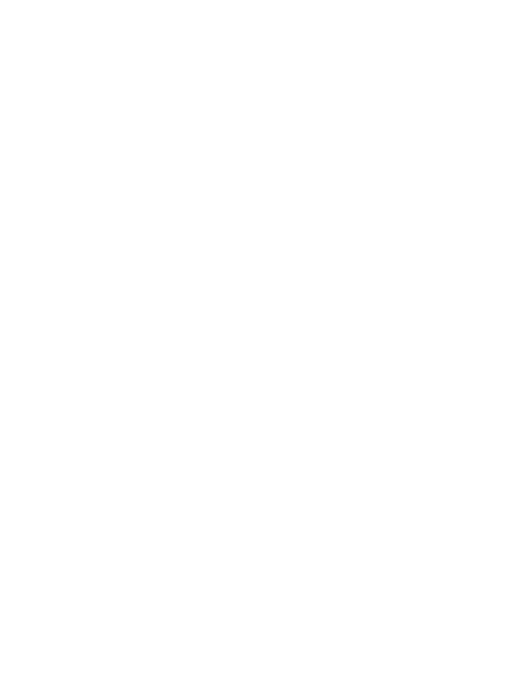#### RESOLUTION NO. ##,###-N.S.

## ADOPT THE 2015-2023 BERKELEY HOUSING ELEMENT AND INCORPORATE THE ELEMENT INTO THE BERKELEY GENERAL PLAN

WHEREAS, the City of Berkeley ("City") adopted the Housing Element October 19, 2010 with Resolution No. 65,067-N.S.; and

WHEREAS, the State of California requires all Cities and Counties to regularly update the Housing Element of their General Plan; and

WHEREAS, the Berkeley Planning Commission, Housing Advisory Commission and Homeless Commission held meetings on the draft chapters of the updated Berkeley Housing Element in 2014; and

WHEREAS, the City submitted the draft 2015-2023 Berkeley Housing Element to the State Department of Housing and Community Development ("HCD") for review on December 22, 2014; and

WHEREAS, State HCD provided comments on the draft 2015-2023 Berkeley Housing Element on February 17, 2015; and

WHEREAS, the Berkeley Planning and Development Department provided revisions in response to the HCD comments on February 17, 2015; and

WHEREAS, State HCD conditionally approved the revised 2015-2023 Berkeley Housing Element, based on the proposed revisions, on February 17, 2015; and

WHEREAS, the Berkeley Planning Commission conducted a public hearing and considered the revised updated 2015-2023 Berkeley Housing Element and the Negative Declaration on February 4 and 18, 2015; and

WHEREAS, on February 18, 2015 the Berkeley Planning Commission recommended that the City Council (1) adopt the CEQA Negative Declaration/Initial Study, (2) adopt the updated Berkeley Housing Element, incorporating the updated housing policies, as shown in Chapter 5 of the 2015-2023 Berkeley Housing Element into the General Plan, February 2015 draft; and

WHEREAS, the Berkeley Housing Advisory and Homeless Commissions considered the revised updated 2015-2023 Berkeley Housing Element in December 2014 and provided comments; and

WHEREAS, the City has prepared, in accordance with the California Environmental Quality Act, a Negative Declaration and Initial Study on the 2015-2023 Berkeley Housing Element; and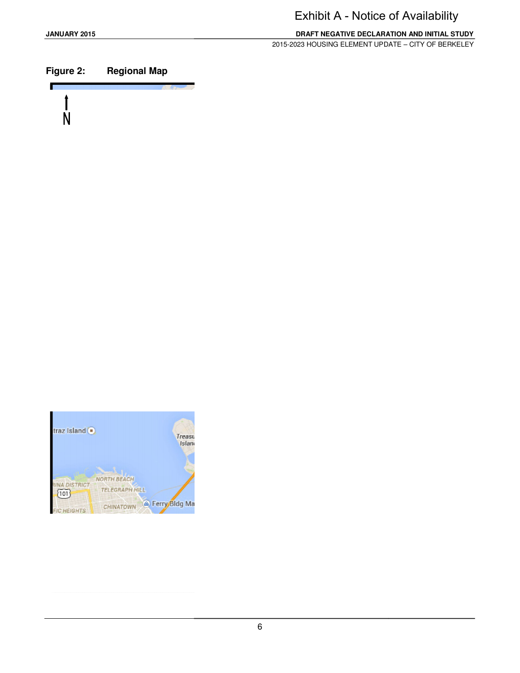WHEREAS, the City Council adopted the Negative Declaration and made all the required findings pursuant to the California Environmental Quality Act; and

WHEREAS, notice of public hearing was prepared pursuant to Zoning Ordinance Section 22.04.020 and California Govt. Code Section 65355; and

WHEREAS, the 2015-2023 updated Berkeley Housing Element is found to be in the public interest, consistent and compatible with the rest of the General Plan, and the potential effects of the updated Berkeley Housing Element will not be detrimental to public health, safety, or welfare; and

NOW THEREFORE, BE IT RESOLVED by the Council of the City of Berkeley that the Council hereby adopts the updated 2015-2023 Housing Element draft dated February 2015, as shown in Exhibit A.

BE IT FURTHER RESOLVED by the Council of the City of Berkeley that following Council approval, staff shall publish a revised General Plan that reflects the changes approved herein, by replacing the Housing Element chapter beginning on page H-1 of the General Plan with Chapter 5, *Objectives, Policies, and Actions,* of the updated 2015-2023 Berkeley Housing Element and that minor corrections such as spelling, punctuation, or syntax may be made by staff without Council approval provided they do not change the meaning of any objective, policy or action.

BE IT FURTHER RESOLVED, that Resolution No. 65,067-N.S. is hereby rescinded.

## Exhibits

A: 2015-2023 Berkeley Housing Element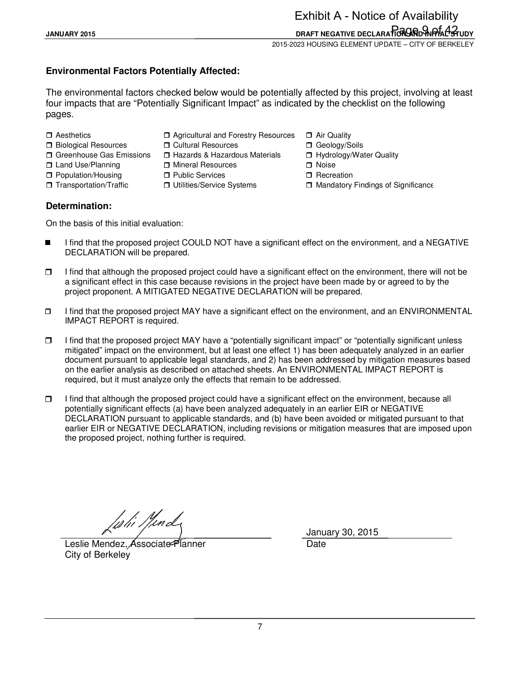# **NOTICE OF PUBLIC HEARING BERKELEY CITY COUNCIL**

# **CONSIDER ADOPTING THE 2015-2023 CITY OF BERKELEY HOUSING ELEMENT**

The Department of Planning & Development is proposing that the City Council adopt the 2015-2023 City of Berkeley Housing Element. The Housing Element, an element of the Berkeley General Plan, is a comprehensive assessment of current and projected housing needs for all economic segments of the Berkeley community. The 2015-2023 Berkeley Housing Element is an update of the 2010 Berkeley Housing Element. In the current Element, most of the housing goals and policies have remained consistent with those established in previous Housing Elements.

The purpose of the Housing Element is to:

- Determine the existing and projected housing needs of Berkeley residents, including special needs populations;
- Identify adequate capacity via the site inventory process to demonstrate availability of land for the development of housing for various income levels in order to accommodate Berkeley's share of regional need;
- Analyze constraints on housing production;
- Establish goals and policies that guide decision-making to address housing needs, and
- Describe programs that will implement the City's housing objectives.

The Draft 2015-2023 Berkeley Housing Element is published online on the Housing Element page of the City's website at: <http://www.cityofberkeley.info/housingelement>

The hearing will be held on **April 28, 2010** at **7:00 p.m.** In the City Council Chambers, 2134 Martin Luther King, Jr. Way.

A copy of the agenda material for this hearing will be available on the City's website at [www.CityofBerkeley.info](http://www.ci.berkeley.ca.us/) as of **April 16, 2015**.

For further information, please contact Alex Amoroso, Principal Planner at 510-981-7520.

Written comments should be mailed or delivered directly to the City Clerk, 2180 Milvia Street, Berkeley, CA 94704, in order to ensure delivery to all Council members and inclusion in the agenda packet.

Communications to the Berkeley City Council are public record and will become part of the City's electronic records, which are accessible through the City's website. **Please note: e-mail addresses, names, addresses, and other contact information are not**